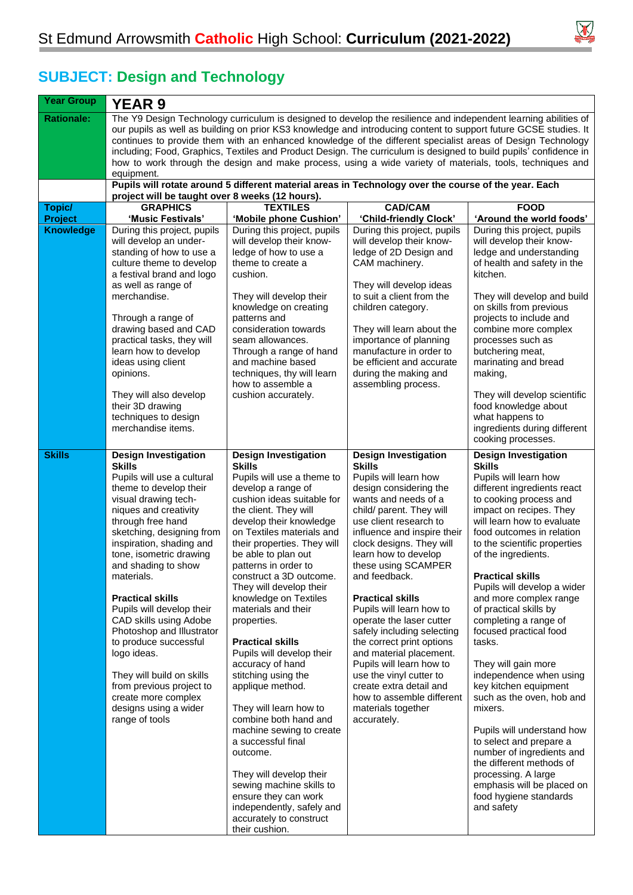

## **SUBJECT: Design and Technology**

| <b>Year Group</b>           | <b>YEAR 9</b>                                                                                                                                                                                                                                                                                                                                                                                                                                                                                                                                                                                      |                                                                                                                                                                                                                                                                                                                                                                                                                                                                                                                                                                                                                                                                                                                                                                                                                     |                                                                                                                                                                                                                                                                                                                                                                                                                                                                                                                                                                                                                                       |                                                                                                                                                                                                                                                                                                                                                                                                                                                                                                                                                                                                                                                                                                                                                                                          |  |  |
|-----------------------------|----------------------------------------------------------------------------------------------------------------------------------------------------------------------------------------------------------------------------------------------------------------------------------------------------------------------------------------------------------------------------------------------------------------------------------------------------------------------------------------------------------------------------------------------------------------------------------------------------|---------------------------------------------------------------------------------------------------------------------------------------------------------------------------------------------------------------------------------------------------------------------------------------------------------------------------------------------------------------------------------------------------------------------------------------------------------------------------------------------------------------------------------------------------------------------------------------------------------------------------------------------------------------------------------------------------------------------------------------------------------------------------------------------------------------------|---------------------------------------------------------------------------------------------------------------------------------------------------------------------------------------------------------------------------------------------------------------------------------------------------------------------------------------------------------------------------------------------------------------------------------------------------------------------------------------------------------------------------------------------------------------------------------------------------------------------------------------|------------------------------------------------------------------------------------------------------------------------------------------------------------------------------------------------------------------------------------------------------------------------------------------------------------------------------------------------------------------------------------------------------------------------------------------------------------------------------------------------------------------------------------------------------------------------------------------------------------------------------------------------------------------------------------------------------------------------------------------------------------------------------------------|--|--|
| <b>Rationale:</b>           | The Y9 Design Technology curriculum is designed to develop the resilience and independent learning abilities of<br>our pupils as well as building on prior KS3 knowledge and introducing content to support future GCSE studies. It<br>continues to provide them with an enhanced knowledge of the different specialist areas of Design Technology<br>including; Food, Graphics, Textiles and Product Design. The curriculum is designed to build pupils' confidence in<br>how to work through the design and make process, using a wide variety of materials, tools, techniques and<br>equipment. |                                                                                                                                                                                                                                                                                                                                                                                                                                                                                                                                                                                                                                                                                                                                                                                                                     |                                                                                                                                                                                                                                                                                                                                                                                                                                                                                                                                                                                                                                       |                                                                                                                                                                                                                                                                                                                                                                                                                                                                                                                                                                                                                                                                                                                                                                                          |  |  |
|                             | Pupils will rotate around 5 different material areas in Technology over the course of the year. Each<br>project will be taught over 8 weeks (12 hours).                                                                                                                                                                                                                                                                                                                                                                                                                                            |                                                                                                                                                                                                                                                                                                                                                                                                                                                                                                                                                                                                                                                                                                                                                                                                                     |                                                                                                                                                                                                                                                                                                                                                                                                                                                                                                                                                                                                                                       |                                                                                                                                                                                                                                                                                                                                                                                                                                                                                                                                                                                                                                                                                                                                                                                          |  |  |
| Topic/                      | <b>GRAPHICS</b>                                                                                                                                                                                                                                                                                                                                                                                                                                                                                                                                                                                    | <b>TEXTILES</b>                                                                                                                                                                                                                                                                                                                                                                                                                                                                                                                                                                                                                                                                                                                                                                                                     | <b>CAD/CAM</b>                                                                                                                                                                                                                                                                                                                                                                                                                                                                                                                                                                                                                        | <b>FOOD</b>                                                                                                                                                                                                                                                                                                                                                                                                                                                                                                                                                                                                                                                                                                                                                                              |  |  |
| Project<br><b>Knowledge</b> | 'Music Festivals'<br>During this project, pupils<br>will develop an under-<br>standing of how to use a<br>culture theme to develop<br>a festival brand and logo<br>as well as range of<br>merchandise.<br>Through a range of<br>drawing based and CAD<br>practical tasks, they will<br>learn how to develop<br>ideas using client<br>opinions.<br>They will also develop                                                                                                                                                                                                                           | 'Mobile phone Cushion'<br>During this project, pupils<br>will develop their know-<br>ledge of how to use a<br>theme to create a<br>cushion.<br>They will develop their<br>knowledge on creating<br>patterns and<br>consideration towards<br>seam allowances.<br>Through a range of hand<br>and machine based<br>techniques, thy will learn<br>how to assemble a<br>cushion accurately.                                                                                                                                                                                                                                                                                                                                                                                                                              | 'Child-friendly Clock'<br>During this project, pupils<br>will develop their know-<br>ledge of 2D Design and<br>CAM machinery.<br>They will develop ideas<br>to suit a client from the<br>children category.<br>They will learn about the<br>importance of planning<br>manufacture in order to<br>be efficient and accurate<br>during the making and<br>assembling process.                                                                                                                                                                                                                                                            | 'Around the world foods'<br>During this project, pupils<br>will develop their know-<br>ledge and understanding<br>of health and safety in the<br>kitchen.<br>They will develop and build<br>on skills from previous<br>projects to include and<br>combine more complex<br>processes such as<br>butchering meat,<br>marinating and bread<br>making,<br>They will develop scientific                                                                                                                                                                                                                                                                                                                                                                                                       |  |  |
|                             | their 3D drawing<br>techniques to design<br>merchandise items.                                                                                                                                                                                                                                                                                                                                                                                                                                                                                                                                     |                                                                                                                                                                                                                                                                                                                                                                                                                                                                                                                                                                                                                                                                                                                                                                                                                     |                                                                                                                                                                                                                                                                                                                                                                                                                                                                                                                                                                                                                                       | food knowledge about<br>what happens to<br>ingredients during different<br>cooking processes.                                                                                                                                                                                                                                                                                                                                                                                                                                                                                                                                                                                                                                                                                            |  |  |
| <b>Skills</b>               | <b>Design Investigation</b><br><b>Skills</b><br>Pupils will use a cultural<br>theme to develop their<br>visual drawing tech-<br>niques and creativity<br>through free hand<br>sketching, designing from<br>inspiration, shading and<br>tone, isometric drawing<br>and shading to show<br>materials.<br><b>Practical skills</b><br>Pupils will develop their<br>CAD skills using Adobe<br>Photoshop and Illustrator<br>to produce successful<br>logo ideas.<br>They will build on skills<br>from previous project to<br>create more complex<br>designs using a wider<br>range of tools              | <b>Design Investigation</b><br><b>Skills</b><br>Pupils will use a theme to<br>develop a range of<br>cushion ideas suitable for<br>the client. They will<br>develop their knowledge<br>on Textiles materials and<br>their properties. They will<br>be able to plan out<br>patterns in order to<br>construct a 3D outcome.<br>They will develop their<br>knowledge on Textiles<br>materials and their<br>properties.<br><b>Practical skills</b><br>Pupils will develop their<br>accuracy of hand<br>stitching using the<br>applique method.<br>They will learn how to<br>combine both hand and<br>machine sewing to create<br>a successful final<br>outcome.<br>They will develop their<br>sewing machine skills to<br>ensure they can work<br>independently, safely and<br>accurately to construct<br>their cushion. | <b>Design Investigation</b><br><b>Skills</b><br>Pupils will learn how<br>design considering the<br>wants and needs of a<br>child/ parent. They will<br>use client research to<br>influence and inspire their<br>clock designs. They will<br>learn how to develop<br>these using SCAMPER<br>and feedback.<br><b>Practical skills</b><br>Pupils will learn how to<br>operate the laser cutter<br>safely including selecting<br>the correct print options<br>and material placement.<br>Pupils will learn how to<br>use the vinyl cutter to<br>create extra detail and<br>how to assemble different<br>materials together<br>accurately. | <b>Design Investigation</b><br><b>Skills</b><br>Pupils will learn how<br>different ingredients react<br>to cooking process and<br>impact on recipes. They<br>will learn how to evaluate<br>food outcomes in relation<br>to the scientific properties<br>of the ingredients.<br><b>Practical skills</b><br>Pupils will develop a wider<br>and more complex range<br>of practical skills by<br>completing a range of<br>focused practical food<br>tasks.<br>They will gain more<br>independence when using<br>key kitchen equipment<br>such as the oven, hob and<br>mixers.<br>Pupils will understand how<br>to select and prepare a<br>number of ingredients and<br>the different methods of<br>processing. A large<br>emphasis will be placed on<br>food hygiene standards<br>and safety |  |  |